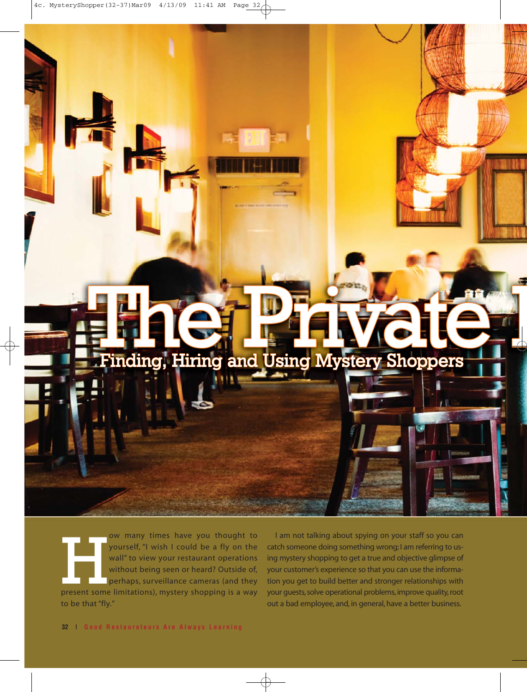# Finding, Hiring and Using Mystery Shoppers

ow many times have you thought to<br>
yourself, "I wish I could be a fly on the<br>
wall" to view your restaurant operations<br>
without being seen or heard? Outside of,<br>
perhaps, surveillance cameras (and they<br>
present some limita yourself, "I wish I could be a fly on the wall" to view your restaurant operations without being seen or heard? Outside of, perhaps, surveillance cameras (and they to be that "fly."

I am not talking about spying on your staff so you can catch someone doing something wrong; I am referring to using mystery shopping to get a true and objective glimpse of your customer's experience so that you can use the information you get to build better and stronger relationships with your guests, solve operational problems, improve quality, root out a bad employee, and, in general, have a better business.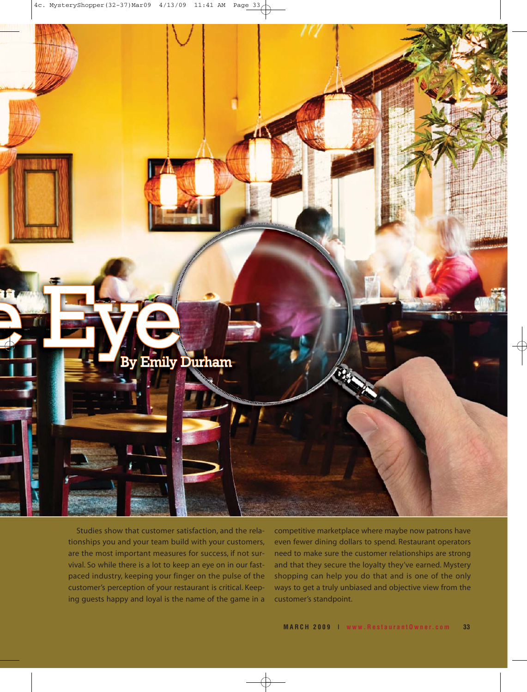

Studies show that customer satisfaction, and the relationships you and your team build with your customers, are the most important measures for success, if not survival. So while there is a lot to keep an eye on in our fastpaced industry, keeping your finger on the pulse of the customer's perception of your restaurant is critical. Keeping guests happy and loyal is the name of the game in a competitive marketplace where maybe now patrons have even fewer dining dollars to spend. Restaurant operators need to make sure the customer relationships are strong and that they secure the loyalty they've earned. Mystery shopping can help you do that and is one of the only ways to get a truly unbiased and objective view from the customer's standpoint.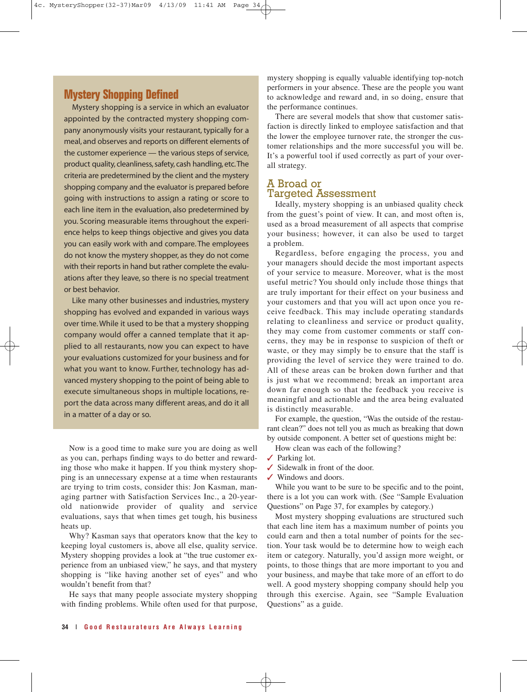# **Mystery Shopping Defined**

Mystery shopping is a service in which an evaluator appointed by the contracted mystery shopping company anonymously visits your restaurant, typically for a meal, and observes and reports on different elements of the customer experience — the various steps of service, product quality, cleanliness, safety, cash handling, etc.The criteria are predetermined by the client and the mystery shopping company and the evaluator is prepared before going with instructions to assign a rating or score to each line item in the evaluation, also predetermined by you. Scoring measurable items throughout the experience helps to keep things objective and gives you data you can easily work with and compare. The employees do not know the mystery shopper, as they do not come with their reports in hand but rather complete the evaluations after they leave, so there is no special treatment or best behavior.

Like many other businesses and industries, mystery shopping has evolved and expanded in various ways over time. While it used to be that a mystery shopping company would offer a canned template that it applied to all restaurants, now you can expect to have your evaluations customized for your business and for what you want to know. Further, technology has advanced mystery shopping to the point of being able to execute simultaneous shops in multiple locations, report the data across many different areas, and do it all in a matter of a day or so.

Now is a good time to make sure you are doing as well as you can, perhaps finding ways to do better and rewarding those who make it happen. If you think mystery shopping is an unnecessary expense at a time when restaurants are trying to trim costs, consider this: Jon Kasman, managing partner with Satisfaction Services Inc., a 20-yearold nationwide provider of quality and service evaluations, says that when times get tough, his business heats up.

Why? Kasman says that operators know that the key to keeping loyal customers is, above all else, quality service. Mystery shopping provides a look at "the true customer experience from an unbiased view," he says, and that mystery shopping is "like having another set of eyes" and who wouldn't benefit from that?

He says that many people associate mystery shopping with finding problems. While often used for that purpose, mystery shopping is equally valuable identifying top-notch performers in your absence. These are the people you want to acknowledge and reward and, in so doing, ensure that the performance continues.

There are several models that show that customer satisfaction is directly linked to employee satisfaction and that the lower the employee turnover rate, the stronger the customer relationships and the more successful you will be. It's a powerful tool if used correctly as part of your overall strategy.

### A Broad or Targeted Assessment

Ideally, mystery shopping is an unbiased quality check from the guest's point of view. It can, and most often is, used as a broad measurement of all aspects that comprise your business; however, it can also be used to target a problem.

Regardless, before engaging the process, you and your managers should decide the most important aspects of your service to measure. Moreover, what is the most useful metric? You should only include those things that are truly important for their effect on your business and your customers and that you will act upon once you receive feedback. This may include operating standards relating to cleanliness and service or product quality, they may come from customer comments or staff concerns, they may be in response to suspicion of theft or waste, or they may simply be to ensure that the staff is providing the level of service they were trained to do. All of these areas can be broken down further and that is just what we recommend; break an important area down far enough so that the feedback you receive is meaningful and actionable and the area being evaluated is distinctly measurable.

For example, the question, "Was the outside of the restaurant clean?" does not tell you as much as breaking that down by outside component. A better set of questions might be:

How clean was each of the following?

- ✓ Parking lot.
- ✓ Sidewalk in front of the door.
- ✓ Windows and doors.

While you want to be sure to be specific and to the point, there is a lot you can work with. (See "Sample Evaluation Questions" on Page 37, for examples by category.)

Most mystery shopping evaluations are structured such that each line item has a maximum number of points you could earn and then a total number of points for the section. Your task would be to determine how to weigh each item or category. Naturally, you'd assign more weight, or points, to those things that are more important to you and your business, and maybe that take more of an effort to do well. A good mystery shopping company should help you through this exercise. Again, see "Sample Evaluation Questions" as a guide.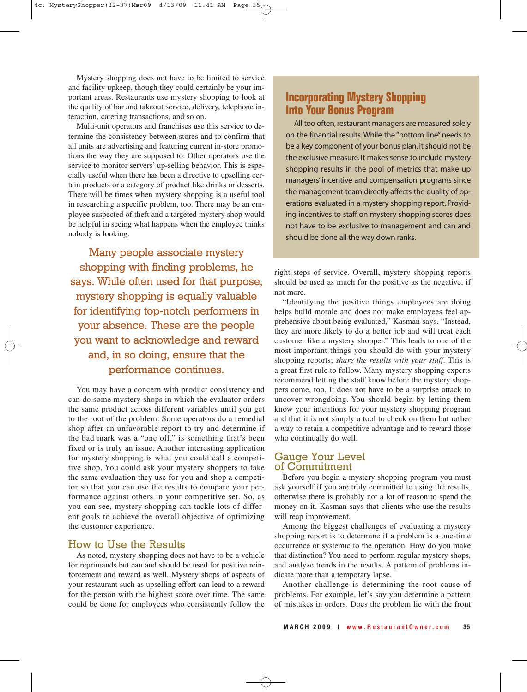Mystery shopping does not have to be limited to service and facility upkeep, though they could certainly be your important areas. Restaurants use mystery shopping to look at the quality of bar and takeout service, delivery, telephone interaction, catering transactions, and so on.

Multi-unit operators and franchises use this service to determine the consistency between stores and to confirm that all units are advertising and featuring current in-store promotions the way they are supposed to. Other operators use the service to monitor servers' up-selling behavior. This is especially useful when there has been a directive to upselling certain products or a category of product like drinks or desserts. There will be times when mystery shopping is a useful tool in researching a specific problem, too. There may be an employee suspected of theft and a targeted mystery shop would be helpful in seeing what happens when the employee thinks nobody is looking.

Many people associate mystery shopping with finding problems, he says. While often used for that purpose, mystery shopping is equally valuable for identifying top-notch performers in your absence. These are the people you want to acknowledge and reward and, in so doing, ensure that the performance continues.

You may have a concern with product consistency and can do some mystery shops in which the evaluator orders the same product across different variables until you get to the root of the problem. Some operators do a remedial shop after an unfavorable report to try and determine if the bad mark was a "one off," is something that's been fixed or is truly an issue. Another interesting application for mystery shopping is what you could call a competitive shop. You could ask your mystery shoppers to take the same evaluation they use for you and shop a competitor so that you can use the results to compare your performance against others in your competitive set. So, as you can see, mystery shopping can tackle lots of different goals to achieve the overall objective of optimizing the customer experience.

### How to Use the Results

As noted, mystery shopping does not have to be a vehicle for reprimands but can and should be used for positive reinforcement and reward as well. Mystery shops of aspects of your restaurant such as upselling effort can lead to a reward for the person with the highest score over time. The same could be done for employees who consistently follow the

## **Incorporating Mystery Shopping Into Your Bonus Program**

All too often, restaurant managers are measured solely on the financial results. While the "bottom line" needs to be a key component of your bonus plan, it should not be the exclusive measure. It makes sense to include mystery shopping results in the pool of metrics that make up managers' incentive and compensation programs since the management team directly affects the quality of operations evaluated in a mystery shopping report. Providing incentives to staff on mystery shopping scores does not have to be exclusive to management and can and should be done all the way down ranks.

right steps of service. Overall, mystery shopping reports should be used as much for the positive as the negative, if not more.

"Identifying the positive things employees are doing helps build morale and does not make employees feel apprehensive about being evaluated," Kasman says. "Instead, they are more likely to do a better job and will treat each customer like a mystery shopper." This leads to one of the most important things you should do with your mystery shopping reports; *share the results with your staff*. This is a great first rule to follow. Many mystery shopping experts recommend letting the staff know before the mystery shoppers come, too. It does not have to be a surprise attack to uncover wrongdoing. You should begin by letting them know your intentions for your mystery shopping program and that it is not simply a tool to check on them but rather a way to retain a competitive advantage and to reward those who continually do well.

### Gauge Your Level of Commitment

Before you begin a mystery shopping program you must ask yourself if you are truly committed to using the results, otherwise there is probably not a lot of reason to spend the money on it. Kasman says that clients who use the results will reap improvement.

Among the biggest challenges of evaluating a mystery shopping report is to determine if a problem is a one-time occurrence or systemic to the operation. How do you make that distinction? You need to perform regular mystery shops, and analyze trends in the results. A pattern of problems indicate more than a temporary lapse.

Another challenge is determining the root cause of problems. For example, let's say you determine a pattern of mistakes in orders. Does the problem lie with the front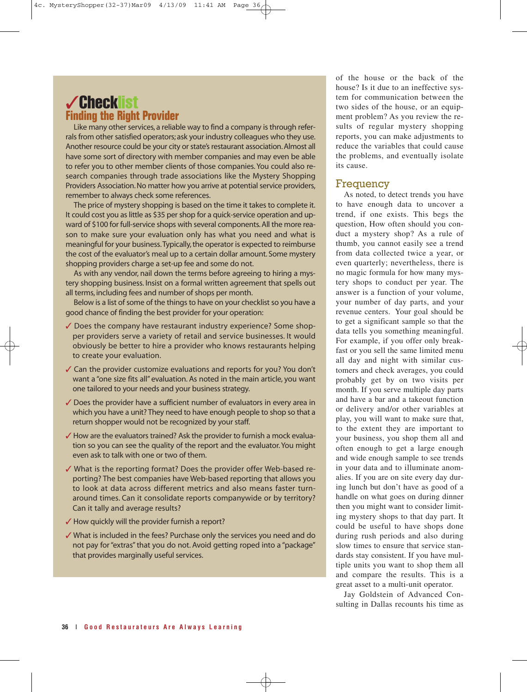# ✓Checklist **Finding the Right Provider**

Like many other services, a reliable way to find a company is through referrals from other satisfied operators; ask your industry colleagues who they use. Another resource could be your city or state's restaurant association. Almost all have some sort of directory with member companies and may even be able to refer you to other member clients of those companies. You could also research companies through trade associations like the Mystery Shopping Providers Association. No matter how you arrive at potential service providers, remember to always check some references.

The price of mystery shopping is based on the time it takes to complete it. It could cost you as little as \$35 per shop for a quick-service operation and upward of \$100 for full-service shops with several components. All the more reason to make sure your evaluation only has what you need and what is meaningful for your business.Typically, the operator is expected to reimburse the cost of the evaluator's meal up to a certain dollar amount. Some mystery shopping providers charge a set-up fee and some do not.

As with any vendor, nail down the terms before agreeing to hiring a mystery shopping business. Insist on a formal written agreement that spells out all terms, including fees and number of shops per month.

Below is a list of some of the things to have on your checklist so you have a good chance of finding the best provider for your operation:

- ✓ Does the company have restaurant industry experience? Some shopper providers serve a variety of retail and service businesses. It would obviously be better to hire a provider who knows restaurants helping to create your evaluation.
- ✓ Can the provider customize evaluations and reports for you? You don't want a "one size fits all" evaluation. As noted in the main article, you want one tailored to your needs and your business strategy.
- ✓ Does the provider have a sufficient number of evaluators in every area in which you have a unit? They need to have enough people to shop so that a return shopper would not be recognized by your staff.
- ✓ How are the evaluators trained? Ask the provider to furnish a mock evaluation so you can see the quality of the report and the evaluator. You might even ask to talk with one or two of them.
- ✓ What is the reporting format? Does the provider offer Web-based reporting? The best companies have Web-based reporting that allows you to look at data across different metrics and also means faster turnaround times. Can it consolidate reports companywide or by territory? Can it tally and average results?
- ✓ How quickly will the provider furnish a report?
- ✓ What is included in the fees? Purchase only the services you need and do not pay for "extras" that you do not. Avoid getting roped into a "package" that provides marginally useful services.

of the house or the back of the house? Is it due to an ineffective system for communication between the two sides of the house, or an equipment problem? As you review the results of regular mystery shopping reports, you can make adjustments to reduce the variables that could cause the problems, and eventually isolate its cause.

### Frequency

As noted, to detect trends you have to have enough data to uncover a trend, if one exists. This begs the question, How often should you conduct a mystery shop? As a rule of thumb, you cannot easily see a trend from data collected twice a year, or even quarterly; nevertheless, there is no magic formula for how many mystery shops to conduct per year. The answer is a function of your volume, your number of day parts, and your revenue centers. Your goal should be to get a significant sample so that the data tells you something meaningful. For example, if you offer only breakfast or you sell the same limited menu all day and night with similar customers and check averages, you could probably get by on two visits per month. If you serve multiple day parts and have a bar and a takeout function or delivery and/or other variables at play, you will want to make sure that, to the extent they are important to your business, you shop them all and often enough to get a large enough and wide enough sample to see trends in your data and to illuminate anomalies. If you are on site every day during lunch but don't have as good of a handle on what goes on during dinner then you might want to consider limiting mystery shops to that day part. It could be useful to have shops done during rush periods and also during slow times to ensure that service standards stay consistent. If you have multiple units you want to shop them all and compare the results. This is a great asset to a multi-unit operator.

Jay Goldstein of Advanced Consulting in Dallas recounts his time as